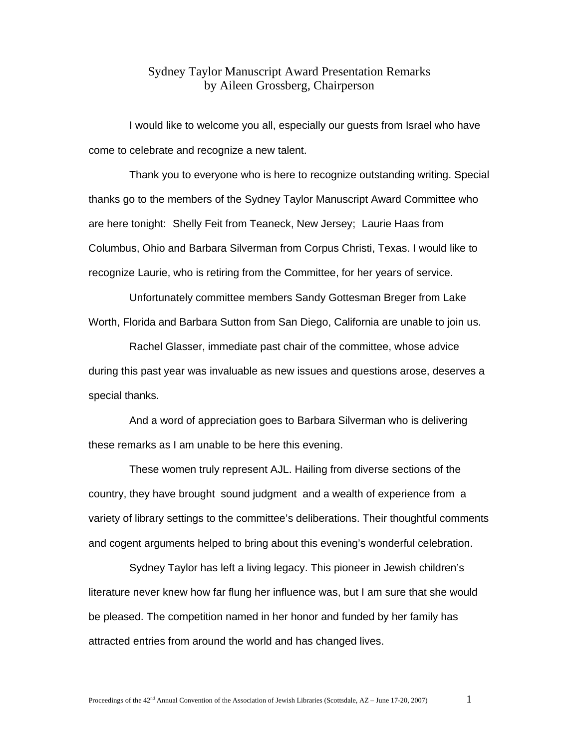## Sydney Taylor Manuscript Award Presentation Remarks by Aileen Grossberg, Chairperson

I would like to welcome you all, especially our guests from Israel who have come to celebrate and recognize a new talent.

 Thank you to everyone who is here to recognize outstanding writing. Special thanks go to the members of the Sydney Taylor Manuscript Award Committee who are here tonight: Shelly Feit from Teaneck, New Jersey; Laurie Haas from Columbus, Ohio and Barbara Silverman from Corpus Christi, Texas. I would like to recognize Laurie, who is retiring from the Committee, for her years of service.

 Unfortunately committee members Sandy Gottesman Breger from Lake Worth, Florida and Barbara Sutton from San Diego, California are unable to join us.

 Rachel Glasser, immediate past chair of the committee, whose advice during this past year was invaluable as new issues and questions arose, deserves a special thanks.

 And a word of appreciation goes to Barbara Silverman who is delivering these remarks as I am unable to be here this evening.

 These women truly represent AJL. Hailing from diverse sections of the country, they have brought sound judgment and a wealth of experience from a variety of library settings to the committee's deliberations. Their thoughtful comments and cogent arguments helped to bring about this evening's wonderful celebration.

 Sydney Taylor has left a living legacy. This pioneer in Jewish children's literature never knew how far flung her influence was, but I am sure that she would be pleased. The competition named in her honor and funded by her family has attracted entries from around the world and has changed lives.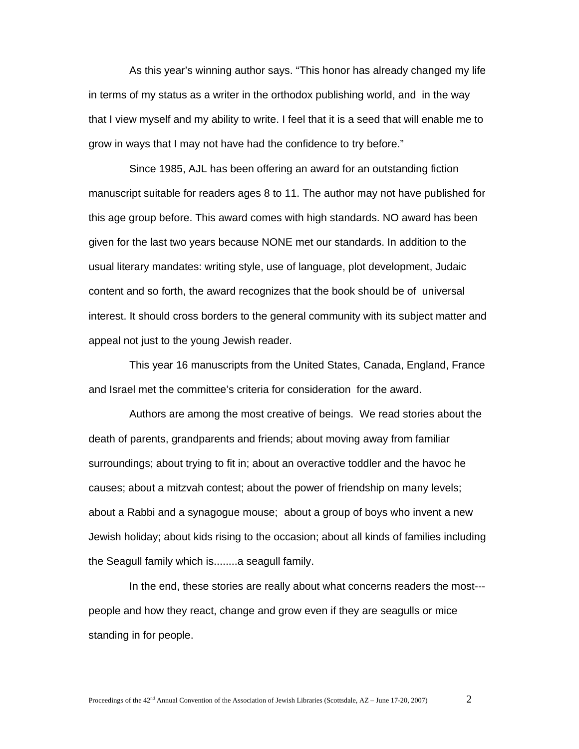As this year's winning author says. "This honor has already changed my life in terms of my status as a writer in the orthodox publishing world, and in the way that I view myself and my ability to write. I feel that it is a seed that will enable me to grow in ways that I may not have had the confidence to try before."

 Since 1985, AJL has been offering an award for an outstanding fiction manuscript suitable for readers ages 8 to 11. The author may not have published for this age group before. This award comes with high standards. NO award has been given for the last two years because NONE met our standards. In addition to the usual literary mandates: writing style, use of language, plot development, Judaic content and so forth, the award recognizes that the book should be of universal interest. It should cross borders to the general community with its subject matter and appeal not just to the young Jewish reader.

 This year 16 manuscripts from the United States, Canada, England, France and Israel met the committee's criteria for consideration for the award.

 Authors are among the most creative of beings. We read stories about the death of parents, grandparents and friends; about moving away from familiar surroundings; about trying to fit in; about an overactive toddler and the havoc he causes; about a mitzvah contest; about the power of friendship on many levels; about a Rabbi and a synagogue mouse; about a group of boys who invent a new Jewish holiday; about kids rising to the occasion; about all kinds of families including the Seagull family which is........a seagull family.

 In the end, these stories are really about what concerns readers the most-- people and how they react, change and grow even if they are seagulls or mice standing in for people.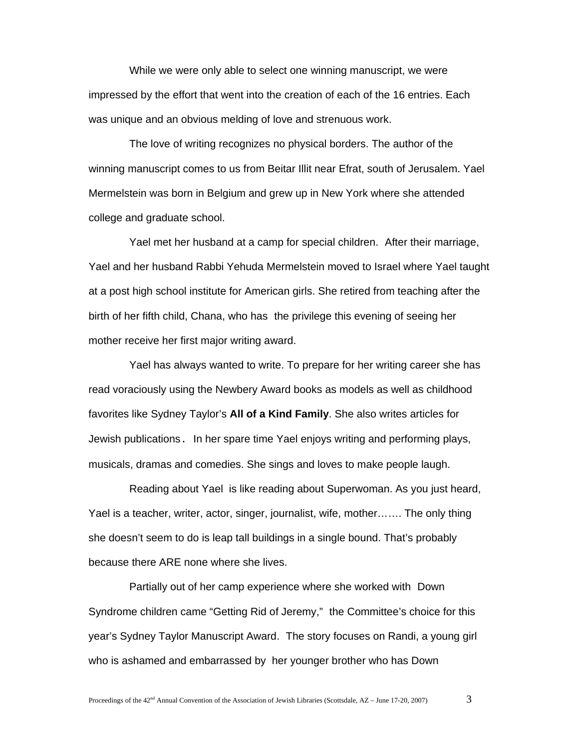While we were only able to select one winning manuscript, we were impressed by the effort that went into the creation of each of the 16 entries. Each was unique and an obvious melding of love and strenuous work.

 The love of writing recognizes no physical borders. The author of the winning manuscript comes to us from Beitar Illit near Efrat, south of Jerusalem. Yael Mermelstein was born in Belgium and grew up in New York where she attended college and graduate school.

 Yael met her husband at a camp for special children. After their marriage, Yael and her husband Rabbi Yehuda Mermelstein moved to Israel where Yael taught at a post high school institute for American girls. She retired from teaching after the birth of her fifth child, Chana, who has the privilege this evening of seeing her mother receive her first major writing award.

 Yael has always wanted to write. To prepare for her writing career she has read voraciously using the Newbery Award books as models as well as childhood favorites like Sydney Taylor's **All of a Kind Family**. She also writes articles for Jewish publications. In her spare time Yael enjoys writing and performing plays, musicals, dramas and comedies. She sings and loves to make people laugh.

 Reading about Yael is like reading about Superwoman. As you just heard, Yael is a teacher, writer, actor, singer, journalist, wife, mother……. The only thing she doesn't seem to do is leap tall buildings in a single bound. That's probably because there ARE none where she lives.

 Partially out of her camp experience where she worked with Down Syndrome children came "Getting Rid of Jeremy," the Committee's choice for this year's Sydney Taylor Manuscript Award. The story focuses on Randi, a young girl who is ashamed and embarrassed by her younger brother who has Down